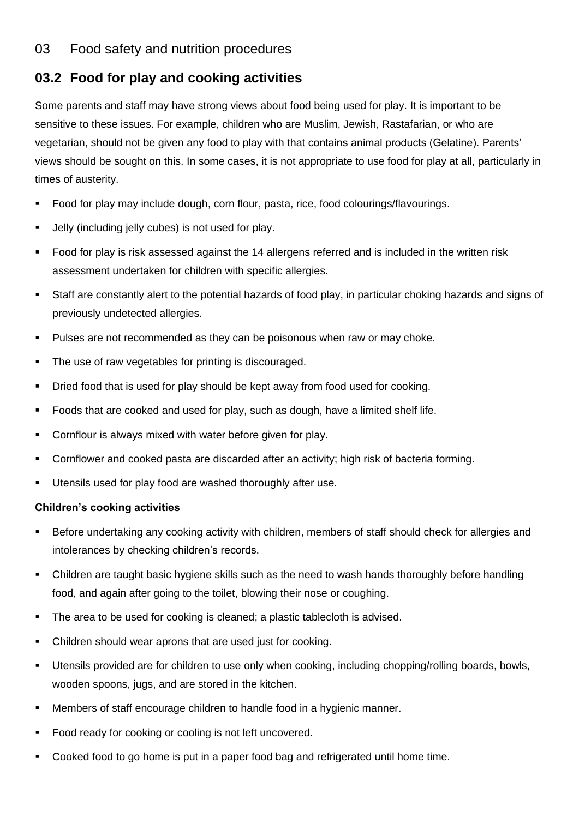## 03 Food safety and nutrition procedures

## **03.2 Food for play and cooking activities**

Some parents and staff may have strong views about food being used for play. It is important to be sensitive to these issues. For example, children who are Muslim, Jewish, Rastafarian, or who are vegetarian, should not be given any food to play with that contains animal products (Gelatine). Parents' views should be sought on this. In some cases, it is not appropriate to use food for play at all, particularly in times of austerity.

- Food for play may include dough, corn flour, pasta, rice, food colourings/flavourings.
- Jelly (including jelly cubes) is not used for play.
- Food for play is risk assessed against the 14 allergens referred and is included in the written risk assessment undertaken for children with specific allergies.
- Staff are constantly alert to the potential hazards of food play, in particular choking hazards and signs of previously undetected allergies.
- Pulses are not recommended as they can be poisonous when raw or may choke.
- The use of raw vegetables for printing is discouraged.
- Dried food that is used for play should be kept away from food used for cooking.
- Foods that are cooked and used for play, such as dough, have a limited shelf life.
- Cornflour is always mixed with water before given for play.
- Cornflower and cooked pasta are discarded after an activity; high risk of bacteria forming.
- Utensils used for play food are washed thoroughly after use.

## **Children's cooking activities**

- Before undertaking any cooking activity with children, members of staff should check for allergies and intolerances by checking children's records.
- Children are taught basic hygiene skills such as the need to wash hands thoroughly before handling food, and again after going to the toilet, blowing their nose or coughing.
- The area to be used for cooking is cleaned; a plastic tablecloth is advised.
- Children should wear aprons that are used just for cooking.
- Utensils provided are for children to use only when cooking, including chopping/rolling boards, bowls, wooden spoons, jugs, and are stored in the kitchen.
- Members of staff encourage children to handle food in a hygienic manner.
- Food ready for cooking or cooling is not left uncovered.
- Cooked food to go home is put in a paper food bag and refrigerated until home time.